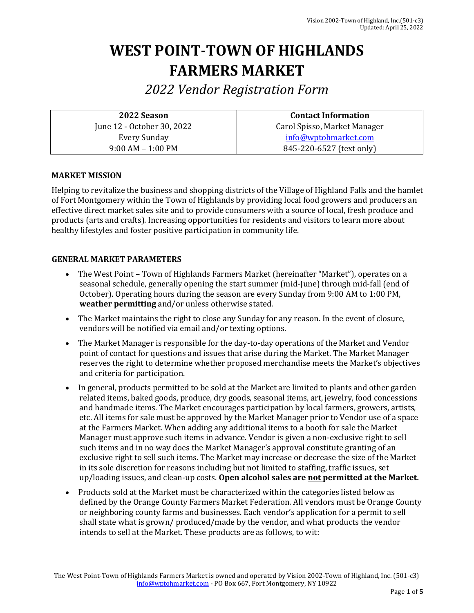# **WEST POINT-TOWN OF HIGHLANDS FARMERS MARKET**

*2022 Vendor Registration Form* 

**2022 Season** June 12 - October 30, 2022 Every Sunday 9:00 AM – 1:00 PM

**Contact Information** Carol Spisso, Market Manager [info@wptohmarket.com](mailto:info@wptohmarket.com)  845-220-6527 (text only)

## **MARKET MISSION**

Helping to revitalize the business and shopping districts of the Village of Highland Falls and the hamlet of Fort Montgomery within the Town of Highlands by providing local food growers and producers an effective direct market sales site and to provide consumers with a source of local, fresh produce and products (arts and crafts). Increasing opportunities for residents and visitors to learn more about healthy lifestyles and foster positive participation in community life.

### **GENERAL MARKET PARAMETERS**

- The West Point Town of Highlands Farmers Market (hereinafter "Market"), operates on a seasonal schedule, generally opening the start summer (mid-June) through mid-fall (end of October). Operating hours during the season are every Sunday from 9:00 AM to 1:00 PM, **weather permitting** and/or unless otherwise stated.
- The Market maintains the right to close any Sunday for any reason. In the event of closure, vendors will be notified via email and/or texting options.
- The Market Manager is responsible for the day-to-day operations of the Market and Vendor point of contact for questions and issues that arise during the Market. The Market Manager reserves the right to determine whether proposed merchandise meets the Market's objectives and criteria for participation.
- In general, products permitted to be sold at the Market are limited to plants and other garden related items, baked goods, produce, dry goods, seasonal items, art, jewelry, food concessions and handmade items. The Market encourages participation by local farmers, growers, artists, etc. All items for sale must be approved by the Market Manager prior to Vendor use of a space at the Farmers Market. When adding any additional items to a booth for sale the Market Manager must approve such items in advance. Vendor is given a non-exclusive right to sell such items and in no way does the Market Manager's approval constitute granting of an exclusive right to sell such items. The Market may increase or decrease the size of the Market in its sole discretion for reasons including but not limited to staffing, traffic issues, set up/loading issues, and clean-up costs. **Open alcohol sales are not permitted at the Market.**
- Products sold at the Market must be characterized within the categories listed below as defined by the Orange County Farmers Market Federation. All vendors must be Orange County or neighboring county farms and businesses. Each vendor's application for a permit to sell shall state what is grown/ produced/made by the vendor, and what products the vendor intends to sell at the Market. These products are as follows, to wit: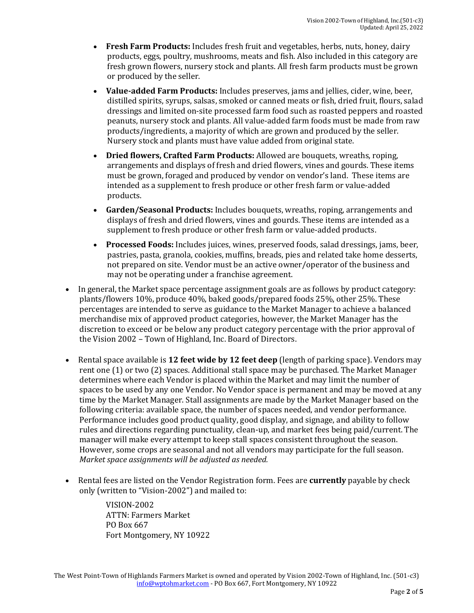- **Fresh Farm Products:** Includes fresh fruit and vegetables, herbs, nuts, honey, dairy products, eggs, poultry, mushrooms, meats and fish. Also included in this category are fresh grown flowers, nursery stock and plants. All fresh farm products must be grown or produced by the seller.
- **Value-added Farm Products:** Includes preserves, jams and jellies, cider, wine, beer, distilled spirits, syrups, salsas, smoked or canned meats or fish, dried fruit, flours, salad dressings and limited on-site processed farm food such as roasted peppers and roasted peanuts, nursery stock and plants. All value-added farm foods must be made from raw products/ingredients, a majority of which are grown and produced by the seller. Nursery stock and plants must have value added from original state.
- **Dried flowers, Crafted Farm Products:** Allowed are bouquets, wreaths, roping, arrangements and displays of fresh and dried flowers, vines and gourds. These items must be grown, foraged and produced by vendor on vendor's land. These items are intended as a supplement to fresh produce or other fresh farm or value-added products.
- **Garden/Seasonal Products:** Includes bouquets, wreaths, roping, arrangements and displays of fresh and dried flowers, vines and gourds. These items are intended as a supplement to fresh produce or other fresh farm or value-added products.
- **Processed Foods:** Includes juices, wines, preserved foods, salad dressings, jams, beer, pastries, pasta, granola, cookies, muffins, breads, pies and related take home desserts, not prepared on site. Vendor must be an active owner/operator of the business and may not be operating under a franchise agreement.
- In general, the Market space percentage assignment goals are as follows by product category: plants/flowers 10%, produce 40%, baked goods/prepared foods 25%, other 25%. These percentages are intended to serve as guidance to the Market Manager to achieve a balanced merchandise mix of approved product categories, however, the Market Manager has the discretion to exceed or be below any product category percentage with the prior approval of the Vision 2002 – Town of Highland, Inc. Board of Directors.
- Rental space available is **12 feet wide by 12 feet deep** (length of parking space). Vendors may rent one (1) or two (2) spaces. Additional stall space may be purchased. The Market Manager determines where each Vendor is placed within the Market and may limit the number of spaces to be used by any one Vendor. No Vendor space is permanent and may be moved at any time by the Market Manager. Stall assignments are made by the Market Manager based on the following criteria: available space, the number of spaces needed, and vendor performance. Performance includes good product quality, good display, and signage, and ability to follow rules and directions regarding punctuality, clean-up, and market fees being paid/current. The manager will make every attempt to keep stall spaces consistent throughout the season. However, some crops are seasonal and not all vendors may participate for the full season. *Market space assignments will be adjusted as needed.*
- Rental fees are listed on the Vendor Registration form. Fees are **currently** payable by check only (written to "Vision-2002") and mailed to:

VISION-2002 ATTN: Farmers Market PO Box 667 Fort Montgomery, NY 10922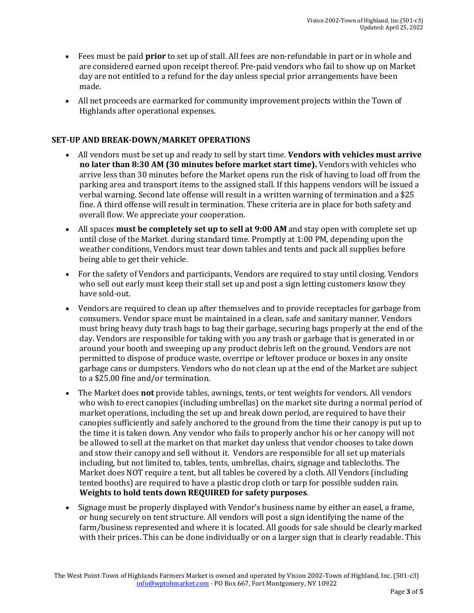- Fees must be paid **prior** to set up of stall. All fees are non-refundable in part or in whole and are considered earned upon receipt thereof. Pre-paid vendors who fail to show up on Market day are not entitled to a refund for the day unless special prior arrangements have been made.
- All net proceeds are earmarked for community improvement projects within the Town of Highlands after operational expenses.

### **SET-UP AND BREAK-DOWN/MARKET OPERATIONS**

- All vendors must be set up and ready to sell by start time. **Vendors with vehicles must arrive no later than 8:30 AM (30 minutes before market start time).** Vendors with vehicles who arrive less than 30 minutes before the Market opens run the risk of having to load off from the parking area and transport items to the assigned stall. If this happens vendors will be issued a verbal warning. Second late offense will result in a written warning of termination and a \$25 fine. A third offense will result in termination. These criteria are in place for both safety and overall flow. We appreciate your cooperation.
- All spaces **must be completely set up to sell at 9:00 AM** and stay open with complete set up until close of the Market. during standard time. Promptly at 1:00 PM, depending upon the weather conditions, Vendors must tear down tables and tents and pack all supplies before being able to get their vehicle.
- For the safety of Vendors and participants, Vendors are required to stay until closing. Vendors who sell out early must keep their stall set up and post a sign letting customers know they have sold-out.
- Vendors are required to clean up after themselves and to provide receptacles for garbage from consumers. Vendor space must be maintained in a clean, safe and sanitary manner. Vendors must bring heavy duty trash bags to bag their garbage, securing bags properly at the end of the day. Vendors are responsible for taking with you any trash or garbage that is generated in or around your booth and sweeping up any product debris left on the ground. Vendors are not permitted to dispose of produce waste, overripe or leftover produce or boxes in any onsite garbage cans or dumpsters. Vendors who do not clean up at the end of the Market are subject to a \$25.00 fine and/or termination.
- The Market does **not** provide tables, awnings, tents, or tent weights for vendors. All vendors who wish to erect canopies (including umbrellas) on the market site during a normal period of market operations, including the set up and break down period, are required to have their canopies sufficiently and safely anchored to the ground from the time their canopy is put up to the time it is taken down. Any vendor who fails to properly anchor his or her canopy will not be allowed to sell at the market on that market day unless that vendor chooses to take down and stow their canopy and sell without it. Vendors are responsible for all set up materials including, but not limited to, tables, tents, umbrellas, chairs, signage and tablecloths. The Market does NOT require a tent, but all tables be covered by a cloth. All Vendors (including tented booths) are required to have a plastic drop cloth or tarp for possible sudden rain. **Weights to hold tents down REQUIRED for safety purposes**.
- Signage must be properly displayed with Vendor's business name by either an easel, a frame, or hung securely on tent structure. All vendors will post a sign identifying the name of the farm/business represented and where it is located. All goods for sale should be clearly marked with their prices. This can be done individually or on a larger sign that is clearly readable. This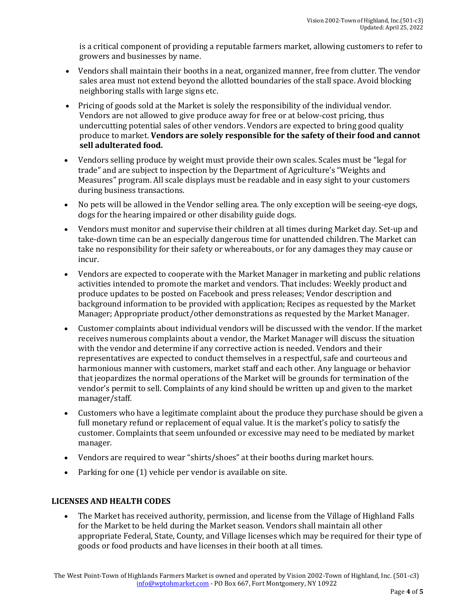is a critical component of providing a reputable farmers market, allowing customers to refer to growers and businesses by name.

- Vendors shall maintain their booths in a neat, organized manner, free from clutter. The vendor sales area must not extend beyond the allotted boundaries of the stall space. Avoid blocking neighboring stalls with large signs etc.
- Pricing of goods sold at the Market is solely the responsibility of the individual vendor. Vendors are not allowed to give produce away for free or at below-cost pricing, thus undercutting potential sales of other vendors. Vendors are expected to bring good quality produce to market. **Vendors are solely responsible for the safety of their food and cannot sell adulterated food.**
- Vendors selling produce by weight must provide their own scales. Scales must be "legal for trade" and are subject to inspection by the Department of Agriculture's "Weights and Measures" program. All scale displays must be readable and in easy sight to your customers during business transactions.
- No pets will be allowed in the Vendor selling area. The only exception will be seeing-eye dogs, dogs for the hearing impaired or other disability guide dogs.
- Vendors must monitor and supervise their children at all times during Market day. Set-up and take-down time can be an especially dangerous time for unattended children. The Market can take no responsibility for their safety or whereabouts, or for any damages they may cause or incur.
- Vendors are expected to cooperate with the Market Manager in marketing and public relations activities intended to promote the market and vendors. That includes: Weekly product and produce updates to be posted on Facebook and press releases; Vendor description and background information to be provided with application; Recipes as requested by the Market Manager; Appropriate product/other demonstrations as requested by the Market Manager.
- Customer complaints about individual vendors will be discussed with the vendor. If the market receives numerous complaints about a vendor, the Market Manager will discuss the situation with the vendor and determine if any corrective action is needed. Vendors and their representatives are expected to conduct themselves in a respectful, safe and courteous and harmonious manner with customers, market staff and each other. Any language or behavior that jeopardizes the normal operations of the Market will be grounds for termination of the vendor's permit to sell. Complaints of any kind should be written up and given to the market manager/staff.
- Customers who have a legitimate complaint about the produce they purchase should be given a full monetary refund or replacement of equal value. It is the market's policy to satisfy the customer. Complaints that seem unfounded or excessive may need to be mediated by market manager.
- Vendors are required to wear "shirts/shoes" at their booths during market hours.
- Parking for one (1) vehicle per vendor is available on site.

### **LICENSES AND HEALTH CODES**

• The Market has received authority, permission, and license from the Village of Highland Falls for the Market to be held during the Market season. Vendors shall maintain all other appropriate Federal, State, County, and Village licenses which may be required for their type of goods or food products and have licenses in their booth at all times.